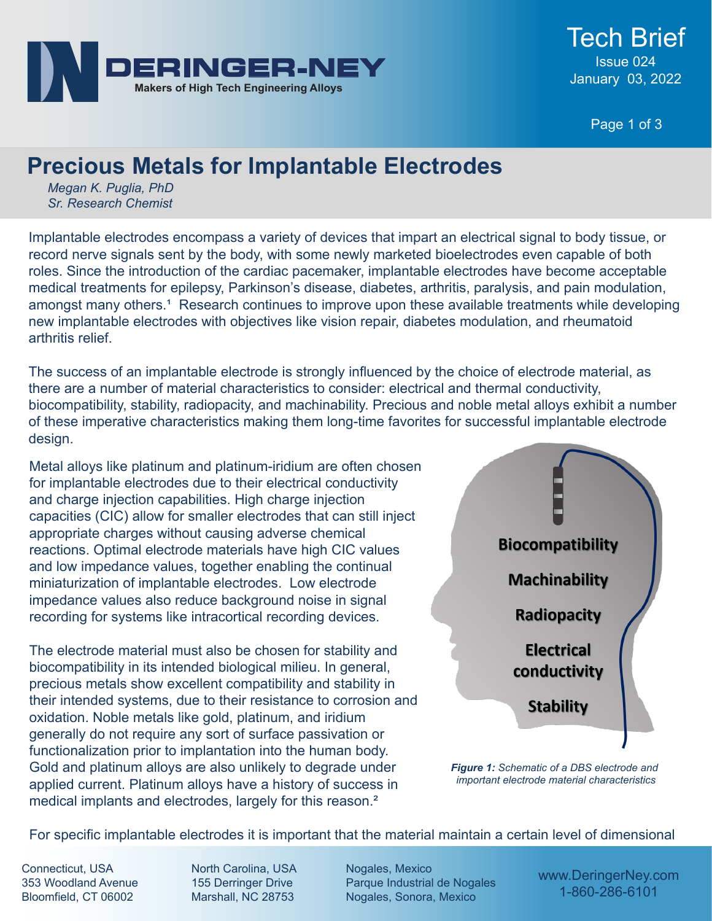

Page 1 of 3

## **Precious Metals for Implantable Electrodes**

*Megan K. Puglia, PhD Sr. Research Chemist*

Implantable electrodes encompass a variety of devices that impart an electrical signal to body tissue, or record nerve signals sent by the body, with some newly marketed bioelectrodes even capable of both roles. Since the introduction of the cardiac pacemaker, implantable electrodes have become acceptable medical treatments for epilepsy, Parkinson's disease, diabetes, arthritis, paralysis, and pain modulation, amongst many others.<sup>1</sup> Research continues to improve upon these available treatments while developing new implantable electrodes with objectives like vision repair, diabetes modulation, and rheumatoid arthritis relief.

The success of an implantable electrode is strongly influenced by the choice of electrode material, as there are a number of material characteristics to consider: electrical and thermal conductivity, biocompatibility, stability, radiopacity, and machinability. Precious and noble metal alloys exhibit a number of these imperative characteristics making them long-time favorites for successful implantable electrode design.

Metal alloys like platinum and platinum-iridium are often chosen for implantable electrodes due to their electrical conductivity and charge injection capabilities. High charge injection capacities (CIC) allow for smaller electrodes that can still inject appropriate charges without causing adverse chemical reactions. Optimal electrode materials have high CIC values and low impedance values, together enabling the continual miniaturization of implantable electrodes. Low electrode impedance values also reduce background noise in signal recording for systems like intracortical recording devices.

The electrode material must also be chosen for stability and biocompatibility in its intended biological milieu. In general, precious metals show excellent compatibility and stability in their intended systems, due to their resistance to corrosion and oxidation. Noble metals like gold, platinum, and iridium generally do not require any sort of surface passivation or functionalization prior to implantation into the human body. Gold and platinum alloys are also unlikely to degrade under applied current. Platinum alloys have a history of success in medical implants and electrodes, largely for this reason.²



*Figure 1: Schematic of a DBS electrode and important electrode material characteristics*

For specific implantable electrodes it is important that the material maintain a certain level of dimensional

Connecticut, USA 353 Woodland Avenue Bloomfield, CT 06002

North Carolina, USA 155 Derringer Drive Marshall, NC 28753

Nogales, Mexico Parque Industrial de Nogales Nogales, Sonora, Mexico

www.DeringerNey.com 1-860-286-6101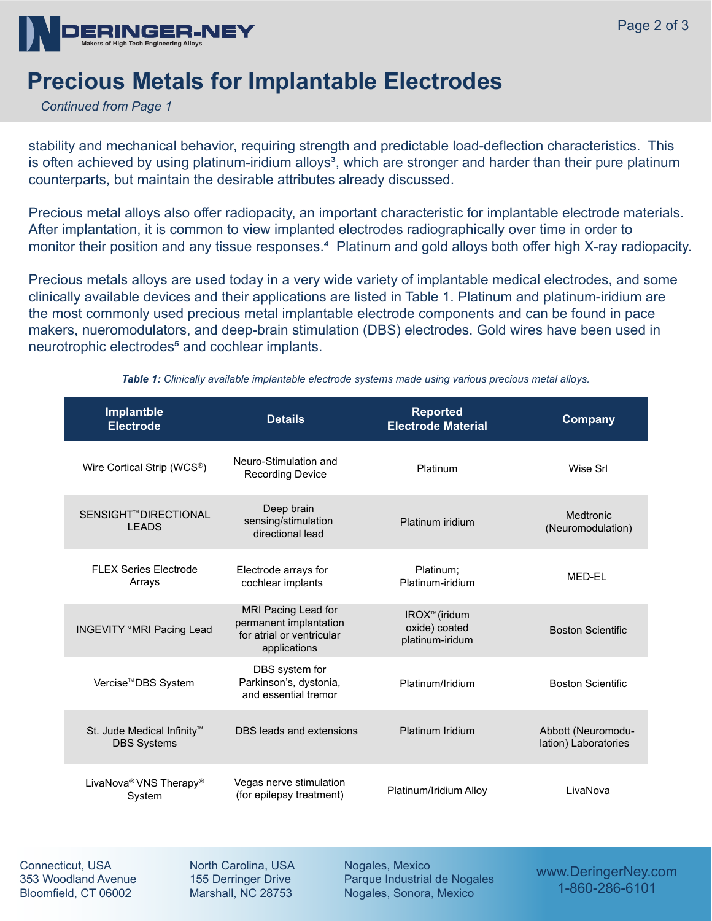

## **Precious Metals for Implantable Electrodes**

*Continued from Page 1*

stability and mechanical behavior, requiring strength and predictable load-deflection characteristics. This is often achieved by using platinum-iridium alloys<sup>3</sup>, which are stronger and harder than their pure platinum counterparts, but maintain the desirable attributes already discussed.

Precious metal alloys also offer radiopacity, an important characteristic for implantable electrode materials. After implantation, it is common to view implanted electrodes radiographically over time in order to monitor their position and any tissue responses.<sup>4</sup> Platinum and gold alloys both offer high X-ray radiopacity.

Precious metals alloys are used today in a very wide variety of implantable medical electrodes, and some clinically available devices and their applications are listed in Table 1. Platinum and platinum-iridium are the most commonly used precious metal implantable electrode components and can be found in pace makers, nueromodulators, and deep-brain stimulation (DBS) electrodes. Gold wires have been used in neurotrophic electrodes<sup>5</sup> and cochlear implants.

| Implantble<br><b>Electrode</b>                               | <b>Details</b>                                                                             | <b>Reported</b><br><b>Electrode Material</b>                  | <b>Company</b>                             |
|--------------------------------------------------------------|--------------------------------------------------------------------------------------------|---------------------------------------------------------------|--------------------------------------------|
| Wire Cortical Strip (WCS <sup>®</sup> )                      | Neuro-Stimulation and<br><b>Recording Device</b>                                           | Platinum                                                      | Wise Srl                                   |
| SENSIGHT <sup>™</sup> DIRECTIONAL<br><b>LEADS</b>            | Deep brain<br>sensing/stimulation<br>directional lead                                      | Platinum iridium                                              | <b>Medtronic</b><br>(Neuromodulation)      |
| <b>FLEX Series Electrode</b><br>Arrays                       | Electrode arrays for<br>cochlear implants                                                  | Platinum;<br>Platinum-iridium                                 | MED-EL                                     |
| <b>INGEVITY<sup>™</sup>MRI Pacing Lead</b>                   | MRI Pacing Lead for<br>permanent implantation<br>for atrial or ventricular<br>applications | IROX <sup>™</sup> (iridum<br>oxide) coated<br>platinum-iridum | <b>Boston Scientific</b>                   |
| Vercise <sup>™</sup> DBS System                              | DBS system for<br>Parkinson's, dystonia,<br>and essential tremor                           | Platinum/Iridium                                              | <b>Boston Scientific</b>                   |
| St. Jude Medical Infinity <sup>™</sup><br><b>DBS Systems</b> | DBS leads and extensions                                                                   | Platinum Iridium                                              | Abbott (Neuromodu-<br>lation) Laboratories |
| LivaNova <sup>®</sup> VNS Therapy <sup>®</sup><br>System     | Vegas nerve stimulation<br>(for epilepsy treatment)                                        | Platinum/Iridium Alloy                                        | LivaNova                                   |

*Table 1: Clinically available implantable electrode systems made using various precious metal alloys.*

Connecticut, USA 353 Woodland Avenue Bloomfield, CT 06002

North Carolina, USA 155 Derringer Drive Marshall, NC 28753

Nogales, Mexico Parque Industrial de Nogales Nogales, Sonora, Mexico

www.DeringerNey.com 1-860-286-6101